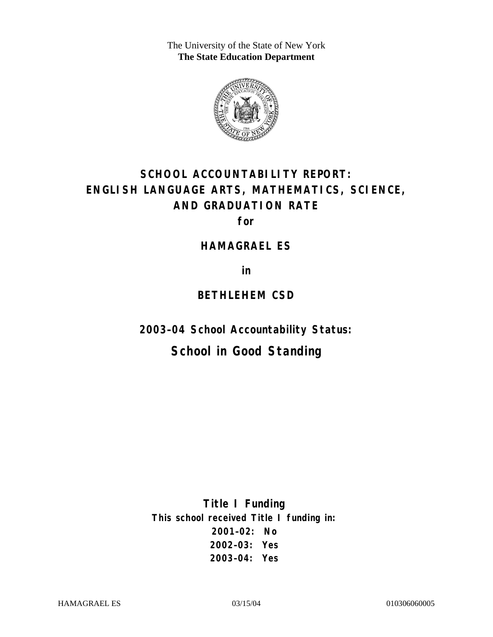The University of the State of New York **The State Education Department** 



# **SCHOOL ACCOUNTABILITY REPORT: ENGLISH LANGUAGE ARTS, MATHEMATICS, SCIENCE, AND GRADUATION RATE**

**for** 

#### **HAMAGRAEL ES**

**in** 

### **BETHLEHEM CSD**

**2003–04 School Accountability Status:** 

# **School in Good Standing**

**Title I Funding This school received Title I funding in: 2001–02: No 2002–03: Yes 2003–04: Yes**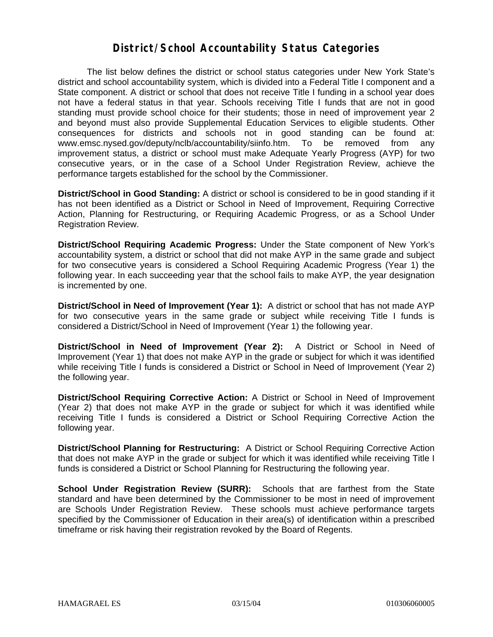### **District/School Accountability Status Categories**

The list below defines the district or school status categories under New York State's district and school accountability system, which is divided into a Federal Title I component and a State component. A district or school that does not receive Title I funding in a school year does not have a federal status in that year. Schools receiving Title I funds that are not in good standing must provide school choice for their students; those in need of improvement year 2 and beyond must also provide Supplemental Education Services to eligible students. Other consequences for districts and schools not in good standing can be found at: www.emsc.nysed.gov/deputy/nclb/accountability/siinfo.htm. To be removed from any improvement status, a district or school must make Adequate Yearly Progress (AYP) for two consecutive years, or in the case of a School Under Registration Review, achieve the performance targets established for the school by the Commissioner.

**District/School in Good Standing:** A district or school is considered to be in good standing if it has not been identified as a District or School in Need of Improvement, Requiring Corrective Action, Planning for Restructuring, or Requiring Academic Progress, or as a School Under Registration Review.

**District/School Requiring Academic Progress:** Under the State component of New York's accountability system, a district or school that did not make AYP in the same grade and subject for two consecutive years is considered a School Requiring Academic Progress (Year 1) the following year. In each succeeding year that the school fails to make AYP, the year designation is incremented by one.

**District/School in Need of Improvement (Year 1):** A district or school that has not made AYP for two consecutive years in the same grade or subject while receiving Title I funds is considered a District/School in Need of Improvement (Year 1) the following year.

**District/School in Need of Improvement (Year 2):** A District or School in Need of Improvement (Year 1) that does not make AYP in the grade or subject for which it was identified while receiving Title I funds is considered a District or School in Need of Improvement (Year 2) the following year.

**District/School Requiring Corrective Action:** A District or School in Need of Improvement (Year 2) that does not make AYP in the grade or subject for which it was identified while receiving Title I funds is considered a District or School Requiring Corrective Action the following year.

**District/School Planning for Restructuring:** A District or School Requiring Corrective Action that does not make AYP in the grade or subject for which it was identified while receiving Title I funds is considered a District or School Planning for Restructuring the following year.

**School Under Registration Review (SURR):** Schools that are farthest from the State standard and have been determined by the Commissioner to be most in need of improvement are Schools Under Registration Review. These schools must achieve performance targets specified by the Commissioner of Education in their area(s) of identification within a prescribed timeframe or risk having their registration revoked by the Board of Regents.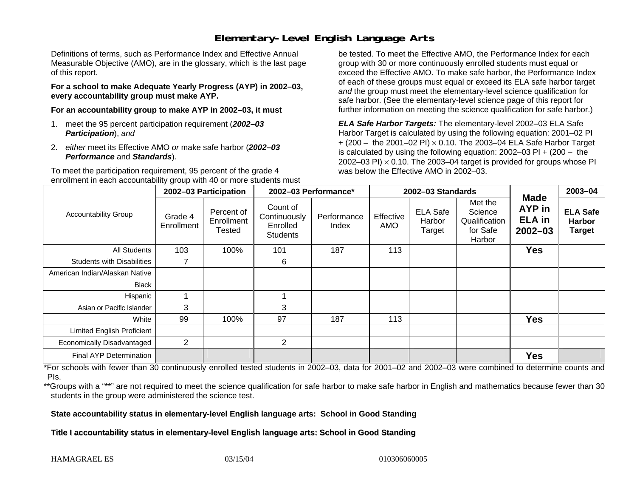# **Elementary-Level English Language Arts**

Definitions of terms, such as Performance Index and Effective Annual Measurable Objective (AMO), are in the glossary, which is the last page of this report.

**For a school to make Adequate Yearly Progress (AYP) in 2002–03, every accountability group must make AYP.** 

**For an accountability group to make AYP in 2002–03, it must** 

- 1. meet the 95 percent participation requirement (*2002–03 Participation*), *and*
- 2. *either* meet its Effective AMO *or* make safe harbor (*2002–03 Performance* and *Standards*).

To meet the participation requirement, 95 percent of the grade 4 enrollment in each accountability group with 40 or more students must

be tested. To meet the Effective AMO, the Performance Index for each group with 30 or more continuously enrolled students must equal or exceed the Effective AMO. To make safe harbor, the Performance Index of each of these groups must equal or exceed its ELA safe harbor target *and* the group must meet the elementary-level science qualification for safe harbor. (See the elementary-level science page of this report for further information on meeting the science qualification for safe harbor.)

*ELA Safe Harbor Targets:* The elementary-level 2002–03 ELA Safe Harbor Target is calculated by using the following equation: 2001–02 PI + (200 – the 2001–02 PI) <sup>×</sup> 0.10. The 2003–04 ELA Safe Harbor Target is calculated by using the following equation: 2002–03 PI + (200 – the 2002–03 PI)  $\times$  0.10. The 2003–04 target is provided for groups whose PI was below the Effective AMO in 2002–03.

| <b>Accountability Group</b>       | 2002-03 Participation |                                    | 2002-03 Performance*                                    |                      | 2002-03 Standards |                                     |                                                           |                                                              | 2003-04                                           |
|-----------------------------------|-----------------------|------------------------------------|---------------------------------------------------------|----------------------|-------------------|-------------------------------------|-----------------------------------------------------------|--------------------------------------------------------------|---------------------------------------------------|
|                                   | Grade 4<br>Enrollment | Percent of<br>Enrollment<br>Tested | Count of<br>Continuously<br>Enrolled<br><b>Students</b> | Performance<br>Index | Effective<br>AMO  | <b>ELA Safe</b><br>Harbor<br>Target | Met the<br>Science<br>Qualification<br>for Safe<br>Harbor | <b>Made</b><br><b>AYP</b> in<br><b>ELA</b> in<br>$2002 - 03$ | <b>ELA Safe</b><br><b>Harbor</b><br><b>Target</b> |
| All Students                      | 103                   | 100%                               | 101                                                     | 187                  | 113               |                                     |                                                           | <b>Yes</b>                                                   |                                                   |
| <b>Students with Disabilities</b> | 7                     |                                    | 6                                                       |                      |                   |                                     |                                                           |                                                              |                                                   |
| American Indian/Alaskan Native    |                       |                                    |                                                         |                      |                   |                                     |                                                           |                                                              |                                                   |
| <b>Black</b>                      |                       |                                    |                                                         |                      |                   |                                     |                                                           |                                                              |                                                   |
| Hispanic                          |                       |                                    |                                                         |                      |                   |                                     |                                                           |                                                              |                                                   |
| Asian or Pacific Islander         | 3                     |                                    | 3                                                       |                      |                   |                                     |                                                           |                                                              |                                                   |
| White                             | 99                    | 100%                               | 97                                                      | 187                  | 113               |                                     |                                                           | <b>Yes</b>                                                   |                                                   |
| <b>Limited English Proficient</b> |                       |                                    |                                                         |                      |                   |                                     |                                                           |                                                              |                                                   |
| Economically Disadvantaged        | $\overline{c}$        |                                    | $\overline{2}$                                          |                      |                   |                                     |                                                           |                                                              |                                                   |
| <b>Final AYP Determination</b>    |                       |                                    |                                                         |                      |                   |                                     |                                                           | <b>Yes</b>                                                   |                                                   |

\*For schools with fewer than 30 continuously enrolled tested students in 2002–03, data for 2001–02 and 2002–03 were combined to determine counts and PIs.

\*\*Groups with a "\*\*" are not required to meet the science qualification for safe harbor to make safe harbor in English and mathematics because fewer than 30 students in the group were administered the science test.

**State accountability status in elementary-level English language arts: School in Good Standing** 

Title I accountability status in elementary-level English language arts: School in Good Standing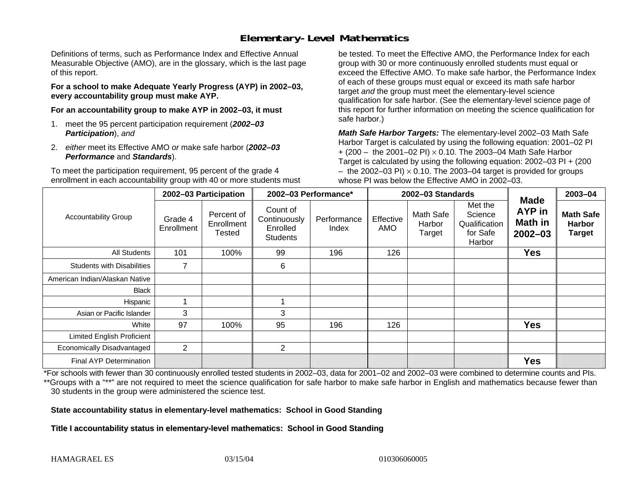# **Elementary-Level Mathematics**

Definitions of terms, such as Performance Index and Effective Annual Measurable Objective (AMO), are in the glossary, which is the last page of this report.

**For a school to make Adequate Yearly Progress (AYP) in 2002–03, every accountability group must make AYP.** 

**For an accountability group to make AYP in 2002–03, it must** 

- 1. meet the 95 percent participation requirement (*2002–03 Participation*), *and*
- 2. *either* meet its Effective AMO *or* make safe harbor (*2002–03 Performance* and *Standards*).

To meet the participation requirement, 95 percent of the grade 4 enrollment in each accountability group with 40 or more students must

be tested. To meet the Effective AMO, the Performance Index for each group with 30 or more continuously enrolled students must equal or exceed the Effective AMO. To make safe harbor, the Performance Index of each of these groups must equal or exceed its math safe harbor target *and* the group must meet the elementary-level science qualification for safe harbor. (See the elementary-level science page of this report for further information on meeting the science qualification for safe harbor.)

*Math Safe Harbor Targets:* The elementary-level 2002–03 Math Safe Harbor Target is calculated by using the following equation: 2001–02 PI + (200 – the 2001–02 PI) × 0.10. The 2003–04 Math Safe Harbor Target is calculated by using the following equation: 2002–03 PI + (200  $-$  the 2002–03 PI)  $\times$  0.10. The 2003–04 target is provided for groups whose PI was below the Effective AMO in 2002–03.

| <b>Accountability Group</b>       | 2002-03 Participation |                                    | 2002-03 Performance*                                    |                      | 2002-03 Standards |                               |                                                           |                                                        | 2003-04                                            |
|-----------------------------------|-----------------------|------------------------------------|---------------------------------------------------------|----------------------|-------------------|-------------------------------|-----------------------------------------------------------|--------------------------------------------------------|----------------------------------------------------|
|                                   | Grade 4<br>Enrollment | Percent of<br>Enrollment<br>Tested | Count of<br>Continuously<br>Enrolled<br><b>Students</b> | Performance<br>Index | Effective<br>AMO  | Math Safe<br>Harbor<br>Target | Met the<br>Science<br>Qualification<br>for Safe<br>Harbor | <b>Made</b><br>AYP in<br><b>Math in</b><br>$2002 - 03$ | <b>Math Safe</b><br><b>Harbor</b><br><b>Target</b> |
| <b>All Students</b>               | 101                   | 100%                               | 99                                                      | 196                  | 126               |                               |                                                           | <b>Yes</b>                                             |                                                    |
| <b>Students with Disabilities</b> | $\overline{ }$        |                                    | 6                                                       |                      |                   |                               |                                                           |                                                        |                                                    |
| American Indian/Alaskan Native    |                       |                                    |                                                         |                      |                   |                               |                                                           |                                                        |                                                    |
| <b>Black</b>                      |                       |                                    |                                                         |                      |                   |                               |                                                           |                                                        |                                                    |
| Hispanic                          |                       |                                    |                                                         |                      |                   |                               |                                                           |                                                        |                                                    |
| Asian or Pacific Islander         | 3                     |                                    | 3                                                       |                      |                   |                               |                                                           |                                                        |                                                    |
| White                             | 97                    | 100%                               | 95                                                      | 196                  | 126               |                               |                                                           | <b>Yes</b>                                             |                                                    |
| <b>Limited English Proficient</b> |                       |                                    |                                                         |                      |                   |                               |                                                           |                                                        |                                                    |
| Economically Disadvantaged        | 2                     |                                    | $\overline{2}$                                          |                      |                   |                               |                                                           |                                                        |                                                    |
| <b>Final AYP Determination</b>    |                       |                                    |                                                         |                      |                   |                               |                                                           | <b>Yes</b>                                             |                                                    |

\*For schools with fewer than 30 continuously enrolled tested students in 2002–03, data for 2001–02 and 2002–03 were combined to determine counts and PIs. \*\*Groups with a "\*\*" are not required to meet the science qualification for safe harbor to make safe harbor in English and mathematics because fewer than 30 students in the group were administered the science test.

**State accountability status in elementary-level mathematics: School in Good Standing** 

Title I accountability status in elementary-level mathematics: School in Good Standing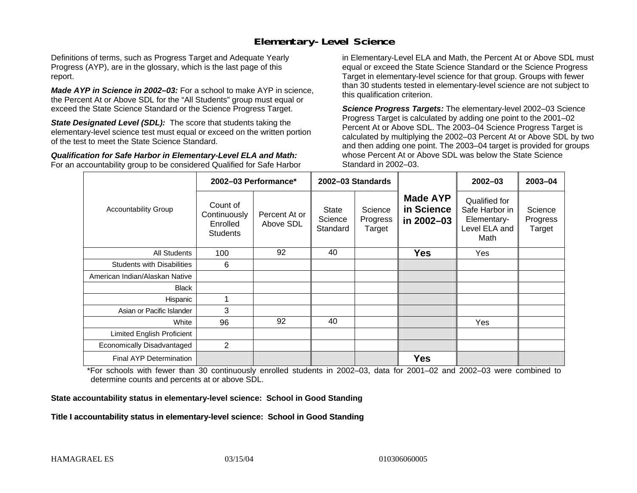## **Elementary-Level Science**

Definitions of terms, such as Progress Target and Adequate Yearly Progress (AYP), are in the glossary, which is the last page of this report.

*Made AYP in Science in 2002–03:* For a school to make AYP in science, the Percent At or Above SDL for the "All Students" group must equal or exceed the State Science Standard or the Science Progress Target.

**State Designated Level (SDL):** The score that students taking the elementary-level science test must equal or exceed on the written portion of the test to meet the State Science Standard.

*Qualification for Safe Harbor in Elementary-Level ELA and Math:* For an accountability group to be considered Qualified for Safe Harbor in Elementary-Level ELA and Math, the Percent At or Above SDL must equal or exceed the State Science Standard or the Science Progress Target in elementary-level science for that group. Groups with fewer than 30 students tested in elementary-level science are not subject to this qualification criterion.

*Science Progress Targets:* The elementary-level 2002–03 Science Progress Target is calculated by adding one point to the 2001–02 Percent At or Above SDL. The 2003–04 Science Progress Target is calculated by multiplying the 2002–03 Percent At or Above SDL by two and then adding one point. The 2003–04 target is provided for groups whose Percent At or Above SDL was below the State Science Standard in 2002–03.

|                                   |                                                         | 2002-03 Performance*       | 2002-03 Standards            |                               |                                             | $2002 - 03$                                                             | 2003-04                       |
|-----------------------------------|---------------------------------------------------------|----------------------------|------------------------------|-------------------------------|---------------------------------------------|-------------------------------------------------------------------------|-------------------------------|
| <b>Accountability Group</b>       | Count of<br>Continuously<br>Enrolled<br><b>Students</b> | Percent At or<br>Above SDL | State<br>Science<br>Standard | Science<br>Progress<br>Target | <b>Made AYP</b><br>in Science<br>in 2002-03 | Qualified for<br>Safe Harbor in<br>Elementary-<br>Level ELA and<br>Math | Science<br>Progress<br>Target |
| All Students                      | 100                                                     | 92                         | 40                           |                               | <b>Yes</b>                                  | Yes                                                                     |                               |
| <b>Students with Disabilities</b> | 6                                                       |                            |                              |                               |                                             |                                                                         |                               |
| American Indian/Alaskan Native    |                                                         |                            |                              |                               |                                             |                                                                         |                               |
| <b>Black</b>                      |                                                         |                            |                              |                               |                                             |                                                                         |                               |
| Hispanic                          |                                                         |                            |                              |                               |                                             |                                                                         |                               |
| Asian or Pacific Islander         | 3                                                       |                            |                              |                               |                                             |                                                                         |                               |
| White                             | 96                                                      | 92                         | 40                           |                               |                                             | Yes                                                                     |                               |
| Limited English Proficient        |                                                         |                            |                              |                               |                                             |                                                                         |                               |
| Economically Disadvantaged        | $\overline{2}$                                          |                            |                              |                               |                                             |                                                                         |                               |
| <b>Final AYP Determination</b>    |                                                         |                            |                              |                               | <b>Yes</b>                                  |                                                                         |                               |

\*For schools with fewer than 30 continuously enrolled students in 2002–03, data for 2001–02 and 2002–03 were combined to determine counts and percents at or above SDL.

#### **State accountability status in elementary-level science: School in Good Standing**

#### Title I accountability status in elementary-level science: School in Good Standing